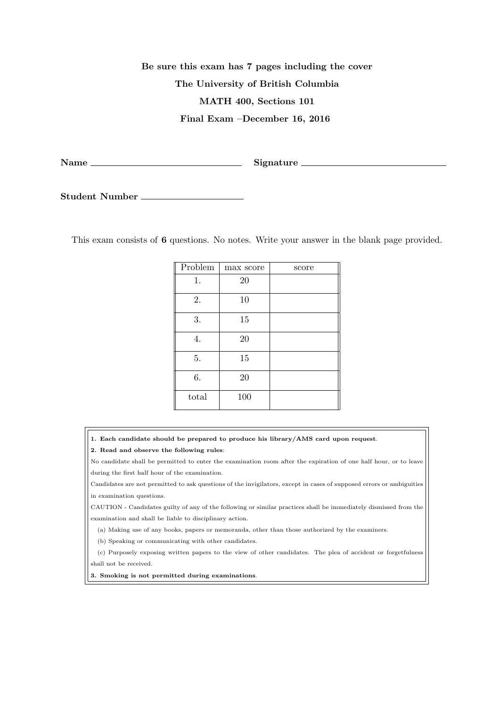## **Be sure this exam has 7 pages including the cover The University of British Columbia MATH 400, Sections 101 Final Exam –December 16, 2016**

**Name Signature**

**Student Number**

This exam consists of **6** questions. No notes. Write your answer in the blank page provided.

| Problem | max score | score |
|---------|-----------|-------|
| 1.      | 20        |       |
| 2.      | 10        |       |
| 3.      | 15        |       |
| 4.      | 20        |       |
| 5.      | 15        |       |
| 6.      | 20        |       |
| total   | 100       |       |

- **1. Each candidate should be prepared to produce his library/AMS card upon request**.
- **2. Read and observe the following rules**:

No candidate shall be permitted to enter the examination room after the expiration of one half hour, or to leave during the first half hour of the examination.

Candidates are not permitted to ask questions of the invigilators, except in cases of supposed errors or ambiguities in examination questions.

CAUTION - Candidates guilty of any of the following or similar practices shall be immediately dismissed from the examination and shall be liable to disciplinary action.

(a) Making use of any books, papers or memoranda, other than those authorized by the examiners.

(b) Speaking or communicating with other candidates.

(c) Purposely exposing written papers to the view of other candidates. The plea of accident or forgetfulness shall not be received.

**3. Smoking is not permitted during examinations**.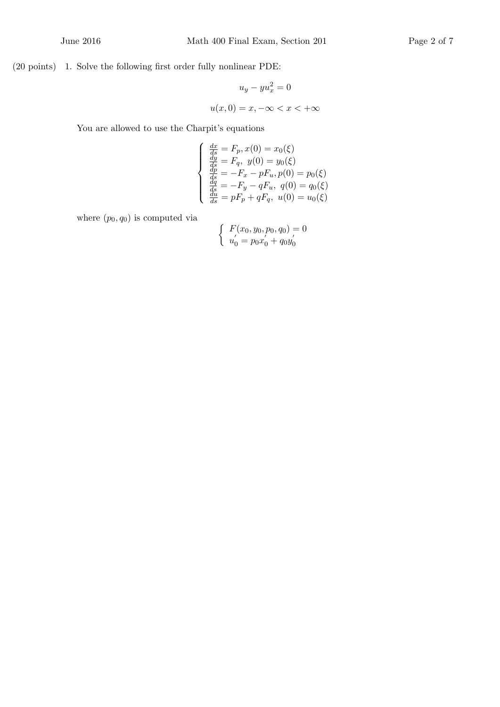(20 points) 1. Solve the following first order fully nonlinear PDE:

$$
u_y - yu_x^2 = 0
$$

$$
u(x, 0) = x, -\infty < x < +\infty
$$

You are allowed to use the Charpit's equations

$$
\begin{cases}\n\frac{dx}{ds} = F_p, x(0) = x_0(\xi) \\
\frac{dy}{ds} = F_q, y(0) = y_0(\xi) \\
\frac{dp}{ds} = -F_x - pF_u, p(0) = p_0(\xi) \\
\frac{dq}{ds} = -F_y - qF_u, q(0) = q_0(\xi) \\
\frac{du}{ds} = pF_p + qF_q, u(0) = u_0(\xi)\n\end{cases}
$$

where  $(p_0, q_0)$  is computed via

$$
\begin{cases}\nF(x_0, y_0, p_0, q_0) = 0 \\
u'_0 = p_0 x'_0 + q_0 y'_0\n\end{cases}
$$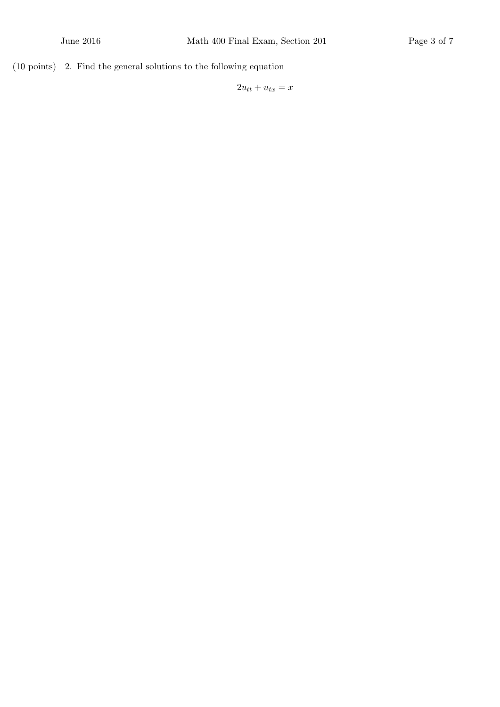(10 points) 2. Find the general solutions to the following equation

 $2u_{tt} + u_{tx} = x$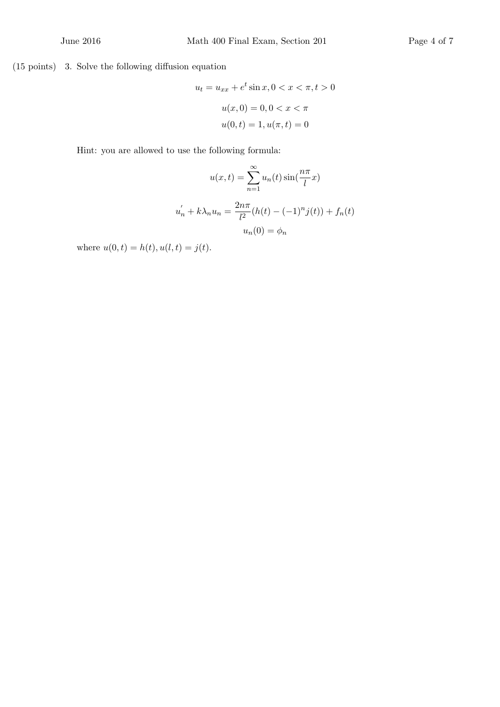(15 points) 3. Solve the following diffusion equation

$$
u_t = u_{xx} + e^t \sin x, 0 < x < \pi, t > 0
$$
\n
$$
u(x, 0) = 0, 0 < x < \pi
$$
\n
$$
u(0, t) = 1, u(\pi, t) = 0
$$

Hint: you are allowed to use the following formula:

$$
u(x,t) = \sum_{n=1}^{\infty} u_n(t) \sin(\frac{n\pi}{l}x)
$$

$$
u'_n + k\lambda_n u_n = \frac{2n\pi}{l^2} (h(t) - (-1)^n j(t)) + f_n(t)
$$

$$
u_n(0) = \phi_n
$$

where  $u(0, t) = h(t), u(l, t) = j(t)$ .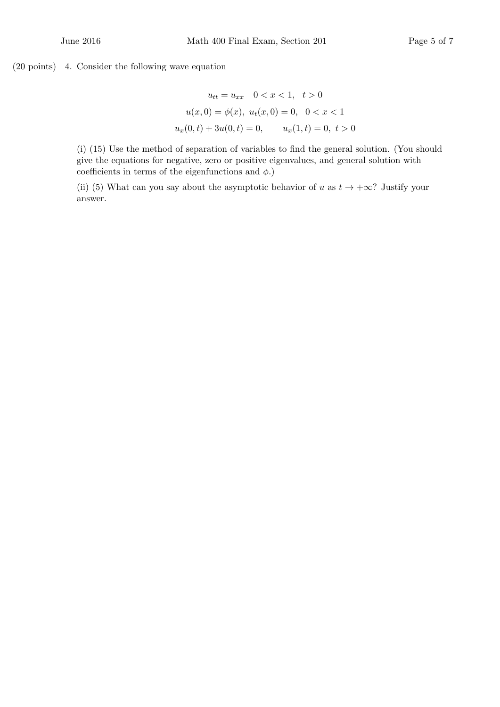(20 points) 4. Consider the following wave equation

$$
u_{tt} = u_{xx} \quad 0 < x < 1, \quad t > 0
$$
\n
$$
u(x, 0) = \phi(x), \quad u_t(x, 0) = 0, \quad 0 < x < 1
$$
\n
$$
u_x(0, t) + 3u(0, t) = 0, \qquad u_x(1, t) = 0, \quad t > 0
$$

(i) (15) Use the method of separation of variables to find the general solution. (You should give the equations for negative, zero or positive eigenvalues, and general solution with coefficients in terms of the eigenfunctions and  $\phi$ .)

(ii) (5) What can you say about the asymptotic behavior of *u* as  $t \to +\infty$ ? Justify your answer.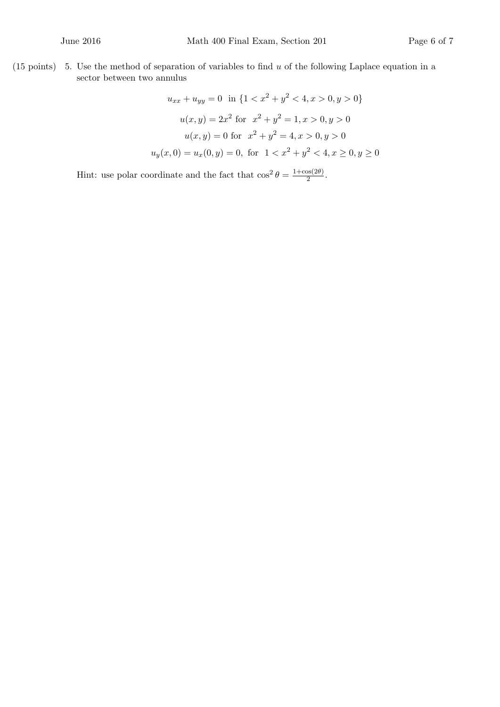(15 points) 5. Use the method of separation of variables to find *u* of the following Laplace equation in a sector between two annulus

$$
u_{xx} + u_{yy} = 0 \text{ in } \{1 < x^2 + y^2 < 4, x > 0, y > 0\}
$$
\n
$$
u(x, y) = 2x^2 \text{ for } x^2 + y^2 = 1, x > 0, y > 0
$$
\n
$$
u(x, y) = 0 \text{ for } x^2 + y^2 = 4, x > 0, y > 0
$$
\n
$$
u_y(x, 0) = u_x(0, y) = 0, \text{ for } 1 < x^2 + y^2 < 4, x \ge 0, y \ge 0
$$

Hint: use polar coordinate and the fact that  $\cos^2 \theta = \frac{1+\cos(2\theta)}{2}$  $\frac{\log(2\sigma)}{2}$ .